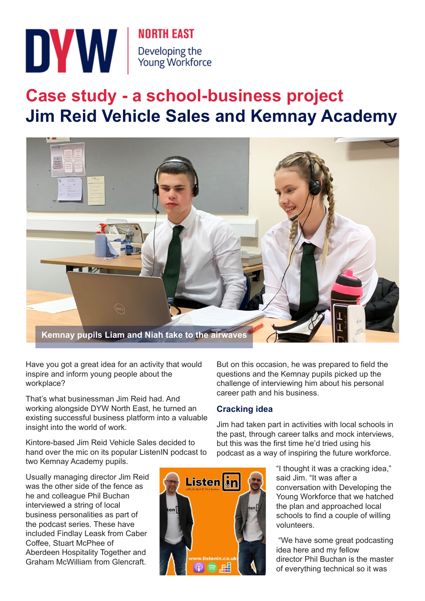

# **Case study - a school-business project Jim Reid Vehicle Sales and Kemnay Academy**



Have you got a great idea for an activity that would inspire and inform young people about the workplace?

That's what businessman Jim Reid had. And working alongside DYW North East, he turned an existing successful business platform into a valuable insight into the world of work.

Kintore-based Jim Reid Vehicle Sales decided to hand over the mic on its popular ListenIN podcast to two Kemnay Academy pupils.

Usually managing director Jim Reid was the other side of the fence as he and colleague Phil Buchan interviewed a string of local business personalities as part of the podcast series. These have included Findlay Leask from Caber Coffee, Stuart McPhee of Aberdeen Hospitality Together and Graham McWilliam from Glencraft.



But on this occasion, he was prepared to field the questions and the Kemnay pupils picked up the challenge of interviewing him about his personal career path and his business.

## **Cracking idea**

Jim had taken part in activities with local schools in the past, through career talks and mock interviews, but this was the first time he'd tried using his podcast as a way of inspiring the future workforce.

> "I thought it was a cracking idea," said Jim. "It was after a conversation with Developing the Young Workforce that we hatched the plan and approached local schools to find a couple of willing volunteers.

> "We have some great podcasting idea here and my fellow director Phil Buchan is the master of everything technical so it was